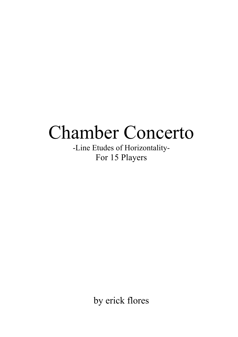## Chamber Concerto

-Line Etudes of Horizontality-For 15 Players

by erick flores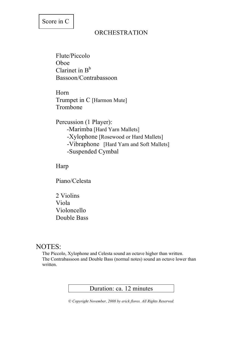## ORCHESTRATION

Flute/Piccolo Oboe Clarinet in  $B^b$ Bassoon/Contrabassoon

Horn Trumpet in C [Harmon Mute] Trombone

Percussion (1 Player): -Marimba [Hard Yarn Mallets] -Xylophone [Rosewood or Hard Mallets] -Vibraphone [Hard Yarn and Soft Mallets] -Suspended Cymbal

Harp

Piano/Celesta

2 Violins Viola Violoncello Double Bass

## NOTES:

The Piccolo, Xylophone and Celesta sound an octave higher than written. The Contrabassoon and Double Bass (normal notes) sound an octave lower than written.

Duration: ca. 12 minutes

*© Copyright November, 2008 by erick flores. All Rights Reserved.*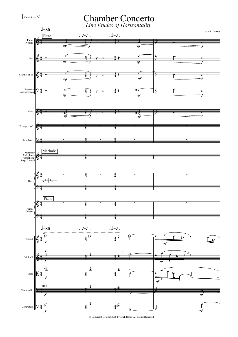Score in C

## Chamber Concerto



C Copyright October 2008 by erick flores. All Rights Reserved.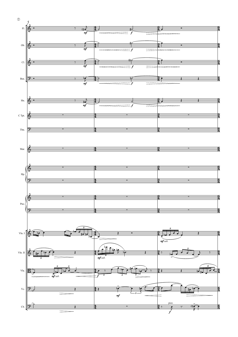